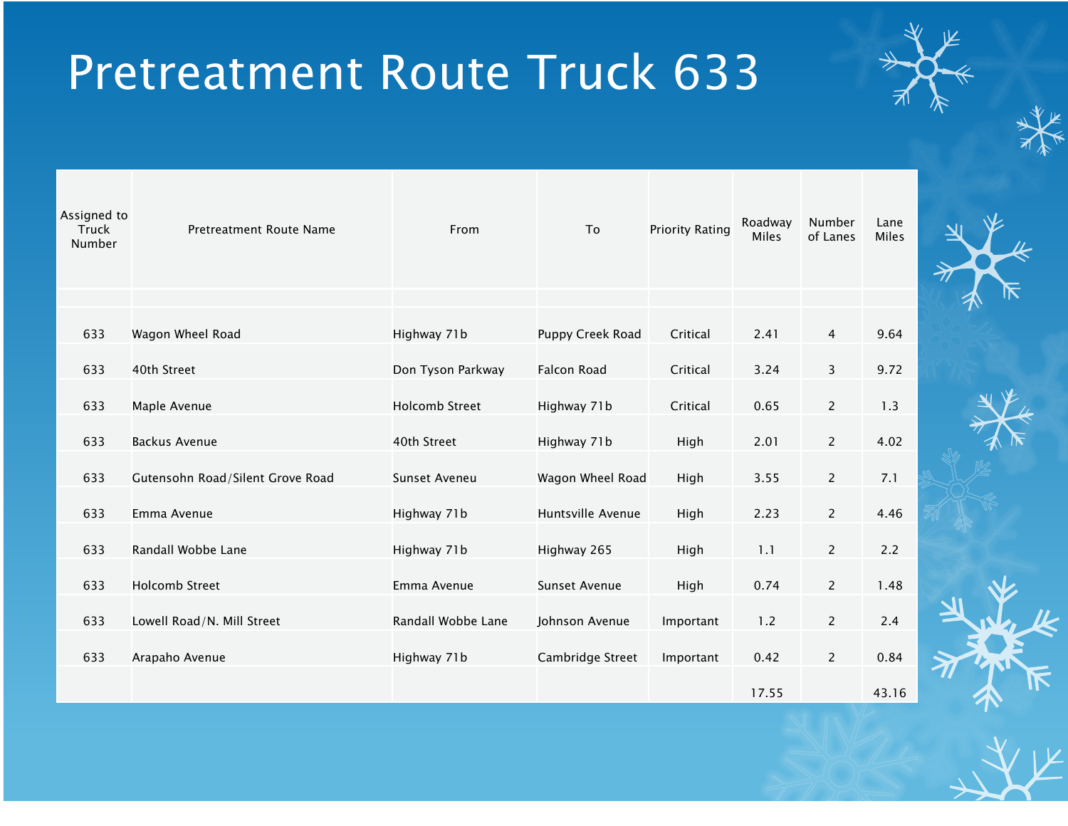| Assigned to<br>Truck<br>Number | Pretreatment Route Name          | From                  | To                       | <b>Priority Rating</b> | Roadway<br><b>Miles</b> | Number<br>of Lanes | Lane<br>Miles |  |
|--------------------------------|----------------------------------|-----------------------|--------------------------|------------------------|-------------------------|--------------------|---------------|--|
|                                |                                  |                       |                          |                        |                         |                    |               |  |
| 633                            | Wagon Wheel Road                 | Highway 71b           | Puppy Creek Road         | Critical               | 2.41                    | 4                  | 9.64          |  |
| 633                            | 40th Street                      | Don Tyson Parkway     | <b>Falcon Road</b>       | Critical               | 3.24                    | 3                  | 9.72          |  |
| 633                            | Maple Avenue                     | <b>Holcomb Street</b> | Highway 71b              | Critical               | 0.65                    | $\overline{c}$     | 1.3           |  |
| 633                            | <b>Backus Avenue</b>             | 40th Street           | Highway 71b<br>High      |                        | 2.01                    | $\overline{2}$     | 4.02          |  |
| 633                            | Gutensohn Road/Silent Grove Road | Sunset Aveneu         | Wagon Wheel Road<br>High |                        | 3.55                    | $\overline{c}$     | 7.1           |  |
| 633                            | Emma Avenue                      | Highway 71b           | Huntsville Avenue        | High                   | 2.23                    | $\overline{2}$     | 4.46          |  |
| 633                            | Randall Wobbe Lane               | Highway 71b           | Highway 265              | High                   | 1.1                     | $\overline{2}$     | 2.2           |  |
| 633                            | <b>Holcomb Street</b>            | Emma Avenue           | <b>Sunset Avenue</b>     | High                   | 0.74                    | $\overline{c}$     | 1.48          |  |
| 633                            | Lowell Road/N. Mill Street       | Randall Wobbe Lane    | Johnson Avenue           | Important              | 1.2                     | $\mathbf{2}$       | 2.4           |  |
| 633                            | Arapaho Avenue                   | Highway 71b           | Cambridge Street         | Important              | 0.42                    | $\overline{2}$     | 0.84          |  |
|                                |                                  |                       |                          |                        | 17.55                   |                    | 43.16         |  |

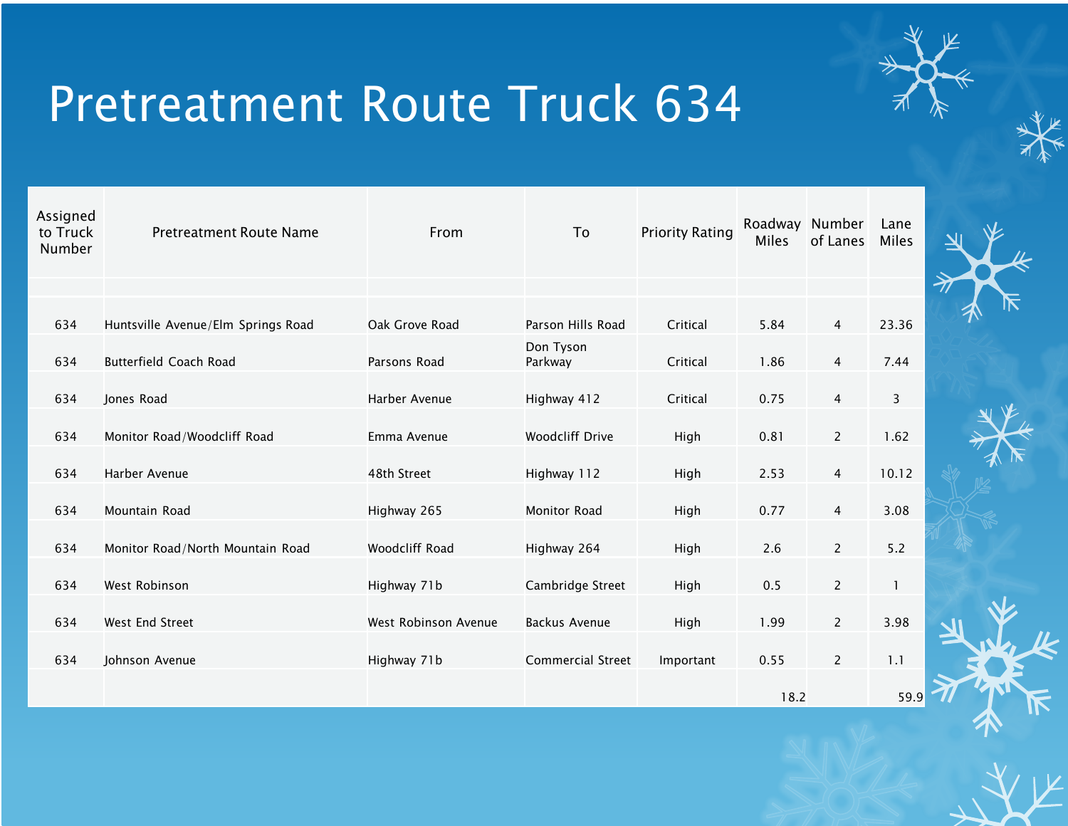

| Assigned<br>to Truck<br>Number | <b>Pretreatment Route Name</b>     | From                 | To                       | <b>Priority Rating</b> | Roadway<br>Miles | Number<br>of Lanes | Lane<br><b>Miles</b> |  |
|--------------------------------|------------------------------------|----------------------|--------------------------|------------------------|------------------|--------------------|----------------------|--|
|                                |                                    |                      |                          |                        |                  |                    |                      |  |
| 634                            | Huntsville Avenue/Elm Springs Road | Oak Grove Road       | Parson Hills Road        | Critical               | 5.84             | 4                  | 23.36                |  |
| 634                            | Butterfield Coach Road             | Parsons Road         | Don Tyson<br>Parkway     | Critical               | 1.86             | $\overline{4}$     | 7.44                 |  |
| 634                            | Jones Road                         | Harber Avenue        | Highway 412              | Critical               | 0.75             | $\overline{4}$     | 3                    |  |
| 634                            | Monitor Road/Woodcliff Road        | Emma Avenue          | <b>Woodcliff Drive</b>   | High                   | 0.81             | 2                  | 1.62                 |  |
| 634                            | Harber Avenue                      | 48th Street          | Highway 112              | High                   | 2.53             | $\overline{4}$     | 10.12                |  |
| 634                            | Mountain Road                      | Highway 265          | <b>Monitor Road</b>      | High                   | 0.77             | $\overline{4}$     | 3.08                 |  |
| 634                            | Monitor Road/North Mountain Road   | Woodcliff Road       | Highway 264              | High                   | 2.6              | $\overline{2}$     | 5.2                  |  |
| 634                            | West Robinson                      | Highway 71b          | Cambridge Street         | High                   | 0.5              | $\overline{c}$     | 1                    |  |
| 634                            | West End Street                    | West Robinson Avenue | <b>Backus Avenue</b>     | High                   | 1.99             | $\overline{c}$     | 3.98                 |  |
| 634                            | Johnson Avenue                     | Highway 71b          | <b>Commercial Street</b> | Important              | 0.55             | $\overline{c}$     | 1.1                  |  |
|                                |                                    |                      |                          |                        | 18.2             |                    | 59.9                 |  |

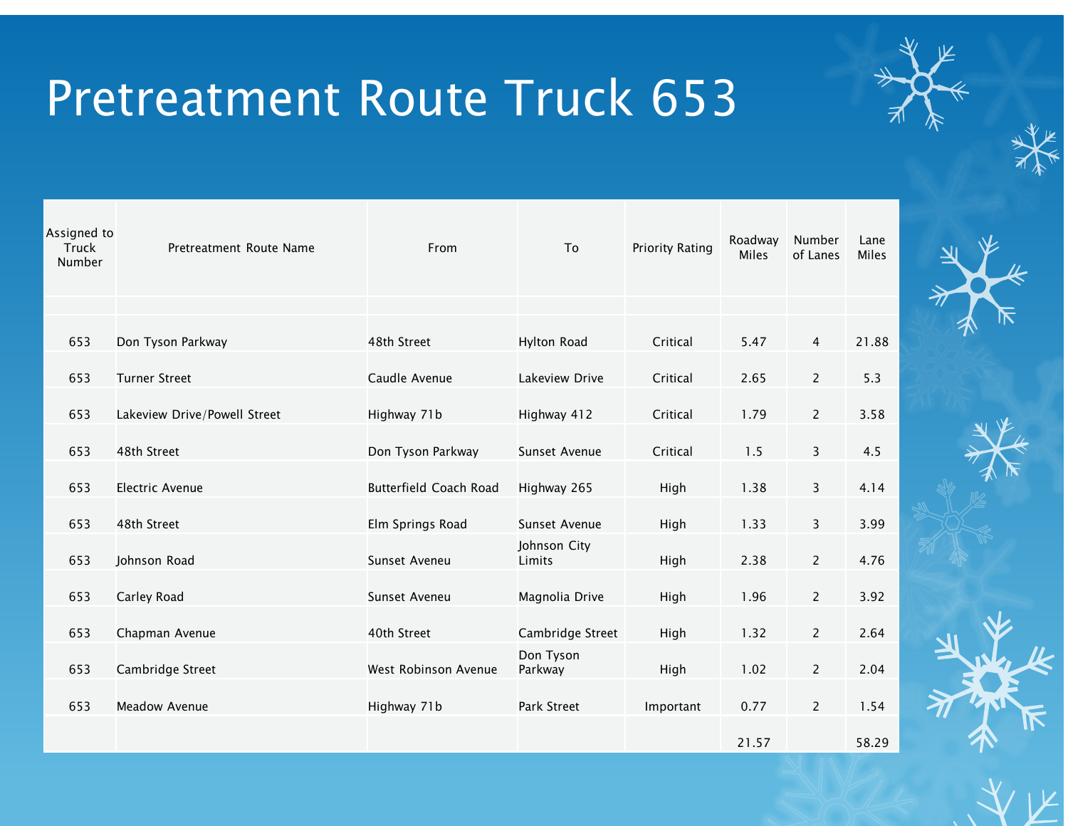| Assigned to<br><b>Truck</b><br>Number | Pretreatment Route Name      | From                          | To                     | <b>Priority Rating</b> | Roadway<br>Miles | Number<br>of Lanes | Lane<br><b>Miles</b> |  |
|---------------------------------------|------------------------------|-------------------------------|------------------------|------------------------|------------------|--------------------|----------------------|--|
|                                       |                              |                               |                        |                        |                  |                    |                      |  |
| 653                                   | Don Tyson Parkway            | 48th Street                   | <b>Hylton Road</b>     | Critical               | 5.47             | 4                  | 21.88                |  |
| 653                                   | <b>Turner Street</b>         | Caudle Avenue                 | Lakeview Drive         | Critical               | 2.65             | $\overline{2}$     | 5.3                  |  |
| 653                                   | Lakeview Drive/Powell Street | Highway 71b                   | Highway 412            | Critical               | 1.79             | $\overline{2}$     | 3.58                 |  |
| 653                                   | 48th Street                  | Don Tyson Parkway             | Sunset Avenue          | Critical               | 1.5              | 3                  | 4.5                  |  |
| 653                                   | <b>Electric Avenue</b>       | <b>Butterfield Coach Road</b> | Highway 265            | High                   | 1.38             | 3                  | 4.14                 |  |
| 653                                   | 48th Street                  | Elm Springs Road              | Sunset Avenue          | High                   | 1.33             | 3                  | 3.99                 |  |
| 653                                   | Johnson Road                 | Sunset Aveneu                 | Johnson City<br>Limits | High                   | 2.38             | $\overline{2}$     | 4.76                 |  |
| 653                                   | Carley Road                  | Sunset Aveneu                 | Magnolia Drive         | High                   | 1.96             | $\overline{2}$     | 3.92                 |  |
|                                       |                              |                               |                        |                        |                  |                    |                      |  |
| 653                                   | Chapman Avenue               | 40th Street                   | Cambridge Street       | High                   | 1.32             | $\overline{2}$     | 2.64                 |  |
| 653                                   | Cambridge Street             | West Robinson Avenue          | Don Tyson<br>Parkway   | High                   | 1.02             | $\overline{2}$     | 2.04                 |  |
| 653                                   | <b>Meadow Avenue</b>         | Highway 71b                   | Park Street            | Important              | 0.77             | $\overline{2}$     | 1.54                 |  |
|                                       |                              |                               |                        |                        | 21.57            |                    | 58.29                |  |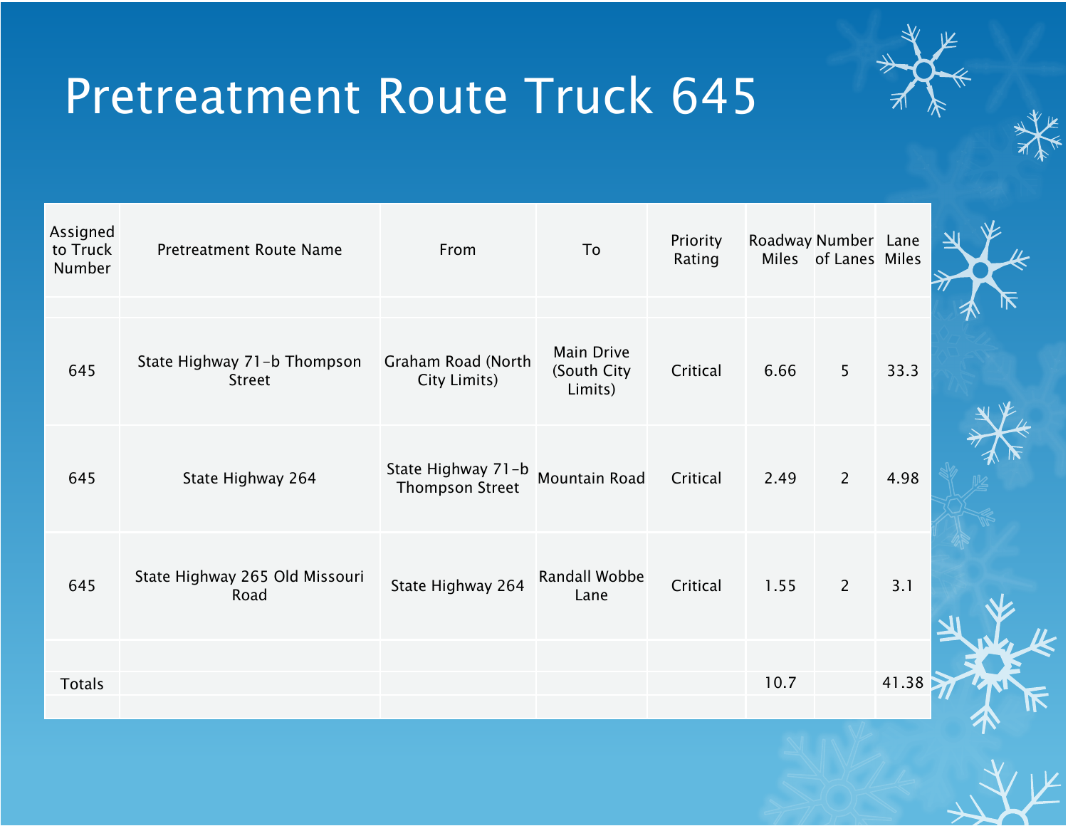